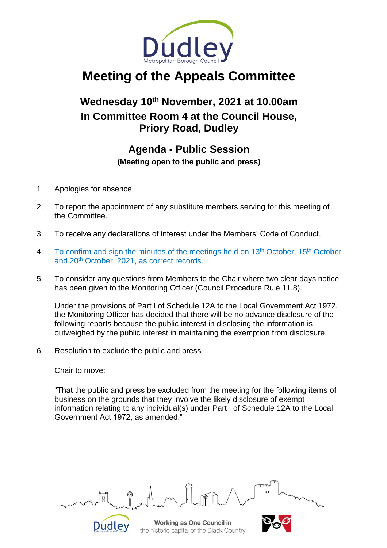

# **Meeting of the Appeals Committee**

# **Wednesday 10th November, 2021 at 10.00am In Committee Room 4 at the Council House, Priory Road, Dudley**

### **Agenda - Public Session**

**(Meeting open to the public and press)**

- 1. Apologies for absence.
- 2. To report the appointment of any substitute members serving for this meeting of the Committee.
- 3. To receive any declarations of interest under the Members' Code of Conduct.
- 4. To confirm and sign the minutes of the meetings held on 13<sup>th</sup> October, 15<sup>th</sup> October and 20th October, 2021, as correct records.
- 5. To consider any questions from Members to the Chair where two clear days notice has been given to the Monitoring Officer (Council Procedure Rule 11.8).

Under the provisions of Part I of Schedule 12A to the Local Government Act 1972, the Monitoring Officer has decided that there will be no advance disclosure of the following reports because the public interest in disclosing the information is outweighed by the public interest in maintaining the exemption from disclosure.

6. Resolution to exclude the public and press

**Dudley** 

Chair to move:

"That the public and press be excluded from the meeting for the following items of business on the grounds that they involve the likely disclosure of exempt information relating to any individual(s) under Part I of Schedule 12A to the Local Government Act 1972, as amended."

Working as One Council in the historic capital of the Black Country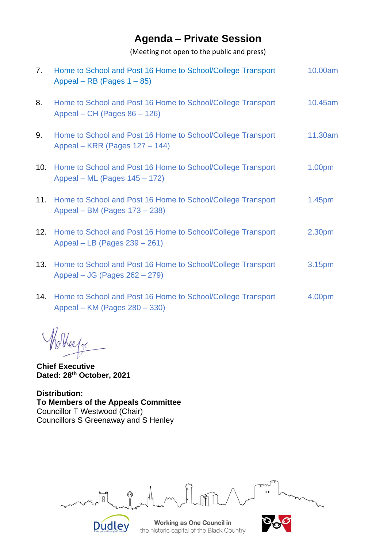## **Agenda – Private Session**

(Meeting not open to the public and press)

| 7.  | Home to School and Post 16 Home to School/College Transport<br>Appeal – RB (Pages $1 - 85$ )     | 10.00am            |
|-----|--------------------------------------------------------------------------------------------------|--------------------|
| 8.  | Home to School and Post 16 Home to School/College Transport<br>Appeal – CH (Pages $86 - 126$ )   | 10.45am            |
| 9.  | Home to School and Post 16 Home to School/College Transport<br>Appeal – KRR (Pages 127 – 144)    | 11.30am            |
| 10. | Home to School and Post 16 Home to School/College Transport<br>Appeal – ML (Pages 145 – 172)     | 1.00 <sub>pm</sub> |
|     | 11. Home to School and Post 16 Home to School/College Transport<br>Appeal – BM (Pages 173 – 238) | 1.45 <sub>pm</sub> |
|     | 12. Home to School and Post 16 Home to School/College Transport<br>Appeal – LB (Pages 239 – 261) | 2.30 <sub>pm</sub> |
|     | 13. Home to School and Post 16 Home to School/College Transport<br>Appeal – JG (Pages 262 – 279) | 3.15 <sub>pm</sub> |
|     | 14. Home to School and Post 16 Home to School/College Transport                                  | 4.00pm             |

14. Home to School and Post 16 Home to School/College Transport Appeal – KM (Pages 280 – 330) 4.00pm

elfor

**Chief Executive Dated: 28 th October, 2021**

**Distribution: To Members of the Appeals Committee** Councillor T Westwood (Chair) Councillors S Greenaway and S Henley

 $\mathbf{I}$ ں<br>و **Dudley** 

**Working as One Council in** the historic capital of the Black Country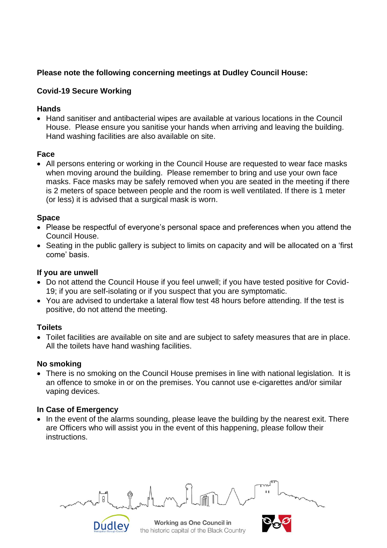#### **Please note the following concerning meetings at Dudley Council House:**

#### **Covid-19 Secure Working**

#### **Hands**

• Hand sanitiser and antibacterial wipes are available at various locations in the Council House. Please ensure you sanitise your hands when arriving and leaving the building. Hand washing facilities are also available on site.

#### **Face**

• All persons entering or working in the Council House are requested to wear face masks when moving around the building. Please remember to bring and use your own face masks. Face masks may be safely removed when you are seated in the meeting if there is 2 meters of space between people and the room is well ventilated. If there is 1 meter (or less) it is advised that a surgical mask is worn.

#### **Space**

- Please be respectful of everyone's personal space and preferences when you attend the Council House.
- Seating in the public gallery is subject to limits on capacity and will be allocated on a 'first come' basis.

#### **If you are unwell**

- Do not attend the Council House if you feel unwell; if you have tested positive for Covid-19; if you are self-isolating or if you suspect that you are symptomatic.
- You are advised to undertake a lateral flow test 48 hours before attending. If the test is positive, do not attend the meeting.

#### **Toilets**

• Toilet facilities are available on site and are subject to safety measures that are in place. All the toilets have hand washing facilities.

#### **No smoking**

• There is no smoking on the Council House premises in line with national legislation. It is an offence to smoke in or on the premises. You cannot use e-cigarettes and/or similar vaping devices.

#### **In Case of Emergency**

**Dudley** 

• In the event of the alarms sounding, please leave the building by the nearest exit. There are Officers who will assist you in the event of this happening, please follow their instructions.

Working as One Council in the historic capital of the Black Country